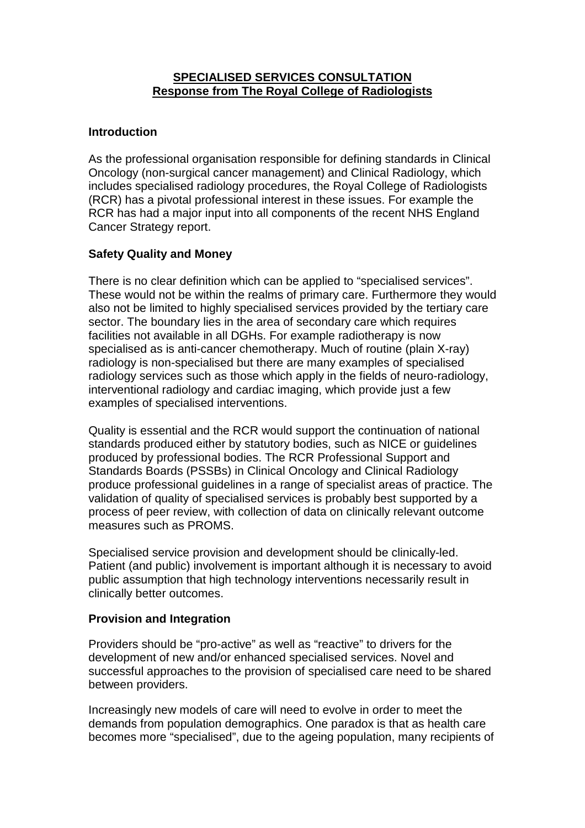# **SPECIALISED SERVICES CONSULTATION Response from The Royal College of Radiologists**

# **Introduction**

As the professional organisation responsible for defining standards in Clinical Oncology (non-surgical cancer management) and Clinical Radiology, which includes specialised radiology procedures, the Royal College of Radiologists (RCR) has a pivotal professional interest in these issues. For example the RCR has had a major input into all components of the recent NHS England Cancer Strategy report.

# **Safety Quality and Money**

There is no clear definition which can be applied to "specialised services". These would not be within the realms of primary care. Furthermore they would also not be limited to highly specialised services provided by the tertiary care sector. The boundary lies in the area of secondary care which requires facilities not available in all DGHs. For example radiotherapy is now specialised as is anti-cancer chemotherapy. Much of routine (plain X-ray) radiology is non-specialised but there are many examples of specialised radiology services such as those which apply in the fields of neuro-radiology, interventional radiology and cardiac imaging, which provide just a few examples of specialised interventions.

Quality is essential and the RCR would support the continuation of national standards produced either by statutory bodies, such as NICE or guidelines produced by professional bodies. The RCR Professional Support and Standards Boards (PSSBs) in Clinical Oncology and Clinical Radiology produce professional guidelines in a range of specialist areas of practice. The validation of quality of specialised services is probably best supported by a process of peer review, with collection of data on clinically relevant outcome measures such as PROMS.

Specialised service provision and development should be clinically-led. Patient (and public) involvement is important although it is necessary to avoid public assumption that high technology interventions necessarily result in clinically better outcomes.

## **Provision and Integration**

Providers should be "pro-active" as well as "reactive" to drivers for the development of new and/or enhanced specialised services. Novel and successful approaches to the provision of specialised care need to be shared between providers.

Increasingly new models of care will need to evolve in order to meet the demands from population demographics. One paradox is that as health care becomes more "specialised", due to the ageing population, many recipients of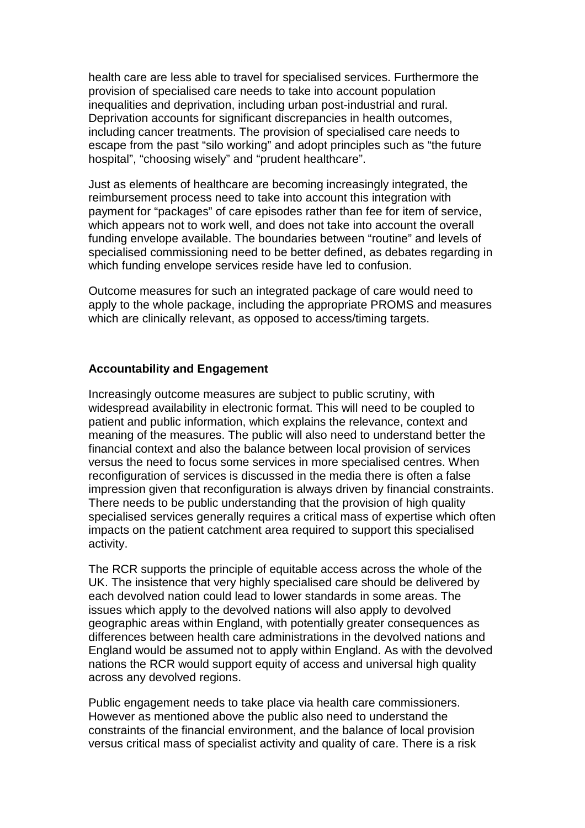health care are less able to travel for specialised services. Furthermore the provision of specialised care needs to take into account population inequalities and deprivation, including urban post-industrial and rural. Deprivation accounts for significant discrepancies in health outcomes, including cancer treatments. The provision of specialised care needs to escape from the past "silo working" and adopt principles such as "the future hospital", "choosing wisely" and "prudent healthcare".

Just as elements of healthcare are becoming increasingly integrated, the reimbursement process need to take into account this integration with payment for "packages" of care episodes rather than fee for item of service, which appears not to work well, and does not take into account the overall funding envelope available. The boundaries between "routine" and levels of specialised commissioning need to be better defined, as debates regarding in which funding envelope services reside have led to confusion.

Outcome measures for such an integrated package of care would need to apply to the whole package, including the appropriate PROMS and measures which are clinically relevant, as opposed to access/timing targets.

#### **Accountability and Engagement**

Increasingly outcome measures are subject to public scrutiny, with widespread availability in electronic format. This will need to be coupled to patient and public information, which explains the relevance, context and meaning of the measures. The public will also need to understand better the financial context and also the balance between local provision of services versus the need to focus some services in more specialised centres. When reconfiguration of services is discussed in the media there is often a false impression given that reconfiguration is always driven by financial constraints. There needs to be public understanding that the provision of high quality specialised services generally requires a critical mass of expertise which often impacts on the patient catchment area required to support this specialised activity.

The RCR supports the principle of equitable access across the whole of the UK. The insistence that very highly specialised care should be delivered by each devolved nation could lead to lower standards in some areas. The issues which apply to the devolved nations will also apply to devolved geographic areas within England, with potentially greater consequences as differences between health care administrations in the devolved nations and England would be assumed not to apply within England. As with the devolved nations the RCR would support equity of access and universal high quality across any devolved regions.

Public engagement needs to take place via health care commissioners. However as mentioned above the public also need to understand the constraints of the financial environment, and the balance of local provision versus critical mass of specialist activity and quality of care. There is a risk